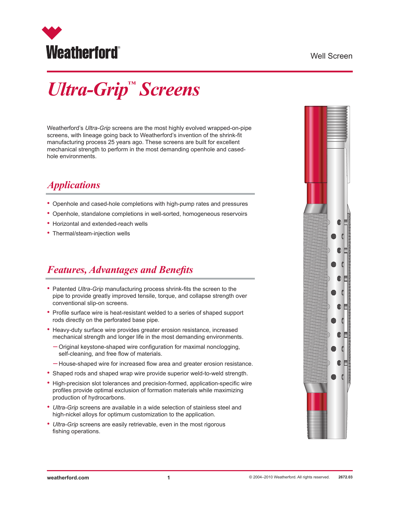

### Well Screen

# *Ultra-Grip™ Screens*

Weatherford's *Ultra-Grip* screens are the most highly evolved wrapped-on-pipe screens, with lineage going back to Weatherford's invention of the shrink-fit manufacturing process 25 years ago. These screens are built for excellent mechanical strength to perform in the most demanding openhole and casedhole environments.

## *Applications*

- Openhole and cased-hole completions with high-pump rates and pressures
- Openhole, standalone completions in well-sorted, homogeneous reservoirs
- Horizontal and extended-reach wells
- Thermal/steam-injection wells

### *Features, Advantages and Benefits*

- Patented *Ultra-Grip* manufacturing process shrink-fits the screen to the pipe to provide greatly improved tensile, torque, and collapse strength over conventional slip-on screens.
- Profile surface wire is heat-resistant welded to a series of shaped support rods directly on the perforated base pipe.
- Heavy-duty surface wire provides greater erosion resistance, increased mechanical strength and longer life in the most demanding environments.
	- Original keystone-shaped wire configuration for maximal nonclogging, self-cleaning, and free flow of materials.
	- House-shaped wire for increased flow area and greater erosion resistance.
- Shaped rods and shaped wrap wire provide superior weld-to-weld strength.
- High-precision slot tolerances and precision-formed, application-specific wire profiles provide optimal exclusion of formation materials while maximizing production of hydrocarbons.
- *• Ultra-Grip* screens are available in a wide selection of stainless steel and high-nickel alloys for optimum customization to the application.
- *Ultra-Grip* screens are easily retrievable, even in the most rigorous fishing operations.